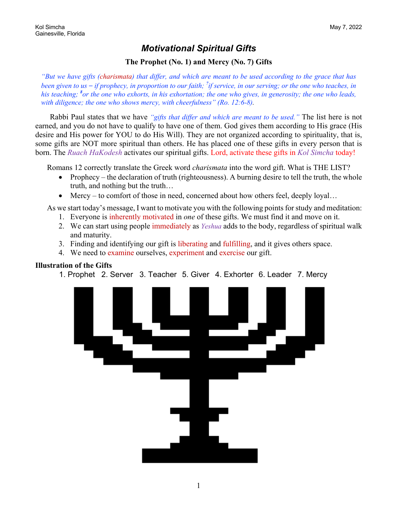### *Motivational Spiritual Gifts*

### **The Prophet (No. 1) and Mercy (No. 7) Gifts**

*"But we have gifts (charismata) that differ, and which are meant to be used according to the grace that has been given to us – if prophecy, in proportion to our faith; <sup>7</sup> if service, in our serving; or the one who teaches, in his teaching; <sup>8</sup> or the one who exhorts, in his exhortation; the one who gives, in generosity; the one who leads, with diligence; the one who shows mercy, with cheerfulness" (Ro. 12:6-8).*

Rabbi Paul states that we have *"gifts that differ and which are meant to be used."* The list here is not earned, and you do not have to qualify to have one of them. God gives them according to His grace (His desire and His power for YOU to do His Will). They are not organized according to spirituality, that is, some gifts are NOT more spiritual than others. He has placed one of these gifts in every person that is born. The *Ruach HaKodesh* activates our spiritual gifts. Lord, activate these gifts in *Kol Simcha* today!

Romans 12 correctly translate the Greek word *charismata* into the word gift. What is THE LIST?

- Prophecy the declaration of truth (righteousness). A burning desire to tell the truth, the whole truth, and nothing but the truth…
- Mercy to comfort of those in need, concerned about how others feel, deeply loyal...

As we start today's message, I want to motivate you with the following points for study and meditation:

- 1. Everyone is inherently motivated in *one* of these gifts. We must find it and move on it.
- 2. We can start using people immediately as *Yeshua* adds to the body, regardless of spiritual walk and maturity.
- 3. Finding and identifying our gift is liberating and fulfilling, and it gives others space.
- 4. We need to examine ourselves, experiment and exercise our gift.

#### **Illustration of the Gifts**

1. Prophet 2. Server 3. Teacher 5. Giver 4. Exhorter 6. Leader 7. Mercy

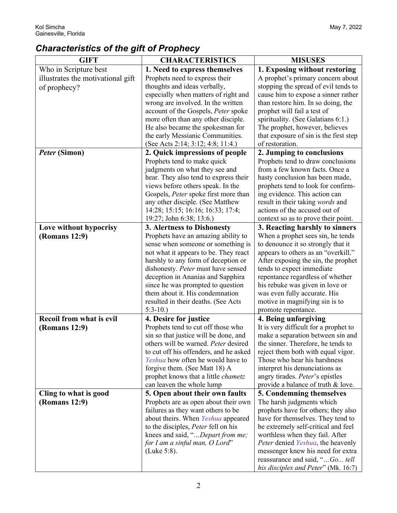# *Characteristics of the gift of Prophecy*

| <b>GIFT</b>                       | <b>CHARACTERISTICS</b>                                                         | <b>MISUSES</b>                                                           |
|-----------------------------------|--------------------------------------------------------------------------------|--------------------------------------------------------------------------|
| Who in Scripture best             | 1. Need to express themselves                                                  | 1. Exposing without restoring                                            |
| illustrates the motivational gift | Prophets need to express their                                                 | A prophet's primary concern about                                        |
| of prophecy?                      | thoughts and ideas verbally,                                                   | stopping the spread of evil tends to                                     |
|                                   | especially when matters of right and                                           | cause him to expose a sinner rather                                      |
|                                   | wrong are involved. In the written                                             | than restore him. In so doing, the                                       |
|                                   | account of the Gospels, Peter spoke                                            | prophet will fail a test of                                              |
|                                   | more often than any other disciple.                                            | spirituality. (See Galatians 6:1.)                                       |
|                                   | He also became the spokesman for                                               | The prophet, however, believes                                           |
|                                   | the early Messianic Communities.                                               | that exposure of sin is the first step                                   |
|                                   | (See Acts 2:14; 3:12; 4:8; 11:4.)                                              | of restoration.                                                          |
| Peter (Simon)                     | 2. Quick impressions of people                                                 | 2. Jumping to conclusions                                                |
|                                   | Prophets tend to make quick                                                    | Prophets tend to draw conclusions                                        |
|                                   | judgments on what they see and                                                 | from a few known facts. Once a                                           |
|                                   | hear. They also tend to express their                                          | hasty conclusion has been made,                                          |
|                                   | views before others speak. In the                                              | prophets tend to look for confirm-                                       |
|                                   | Gospels, Peter spoke first more than                                           | ing evidence. This action can                                            |
|                                   | any other disciple. (See Matthew                                               | result in their taking words and                                         |
|                                   | 14:28; 15:15; 16:16; 16:33; 17:4;                                              | actions of the accused out of                                            |
|                                   | 19:27; John 6:38; 13:6.)                                                       | context so as to prove their point.                                      |
| Love without hypocrisy            | 3. Alertness to Dishonesty                                                     | 3. Reacting harshly to sinners                                           |
| (Romans 12:9)                     | Prophets have an amazing ability to                                            | When a prophet sees sin, he tends                                        |
|                                   | sense when someone or something is                                             | to denounce it so strongly that it                                       |
|                                   | not what it appears to be. They react                                          | appears to others as an "overkill."                                      |
|                                   | harshly to any form of deception or                                            | After exposing the sin, the prophet                                      |
|                                   | dishonesty. Peter must have sensed                                             | tends to expect immediate                                                |
|                                   | deception in Ananias and Sapphira                                              | repentance regardless of whether                                         |
|                                   | since he was prompted to question                                              | his rebuke was given in love or                                          |
|                                   | them about it. His condemnation                                                | was even fully accurate. His                                             |
|                                   | resulted in their deaths. (See Acts                                            | motive in magnifying sin is to                                           |
|                                   | $5:3-10.$                                                                      | promote repentance.                                                      |
| Recoil from what is evil          | 4. Desire for justice                                                          | 4. Being unforgiving                                                     |
| (Romans 12:9)                     | Prophets tend to cut off those who                                             | It is very difficult for a prophet to                                    |
|                                   | sin so that justice will be done, and                                          | make a separation between sin and                                        |
|                                   | others will be warned. Peter desired<br>to cut off his offenders, and he asked | the sinner. Therefore, he tends to<br>reject them both with equal vigor. |
|                                   | Yeshua how often he would have to                                              | Those who hear his harshness                                             |
|                                   | forgive them. (See Matt 18) A                                                  | interpret his denunciations as                                           |
|                                   | prophet knows that a little <i>chametz</i>                                     | angry tirades. Peter's epistles                                          |
|                                   | can leaven the whole lump                                                      | provide a balance of truth & love.                                       |
| Cling to what is good             | 5. Open about their own faults                                                 | 5. Condemning themselves                                                 |
| (Romans 12:9)                     | Prophets are as open about their own                                           | The harsh judgments which                                                |
|                                   | failures as they want others to be                                             | prophets have for others; they also                                      |
|                                   | about theirs. When Yeshua appeared                                             | have for themselves. They tend to                                        |
|                                   | to the disciples, Peter fell on his                                            | be extremely self-critical and feel                                      |
|                                   | knees and said, "Depart from me;                                               | worthless when they fail. After                                          |
|                                   | for I am a sinful man, O Lord"                                                 | Peter denied Yeshua, the heavenly                                        |
|                                   | (Luke 5:8).                                                                    | messenger knew his need for extra                                        |
|                                   |                                                                                | reassurance and said, "Go tell                                           |
|                                   |                                                                                | his disciples and Peter" (Mk. 16:7)                                      |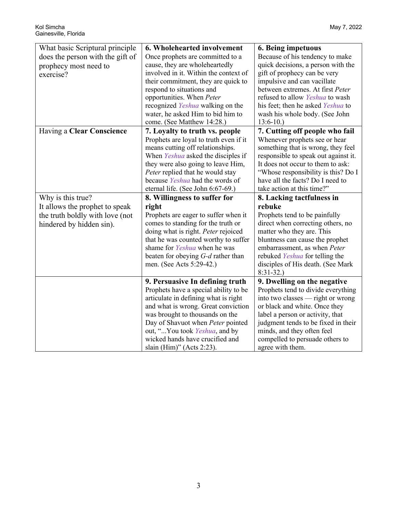| What basic Scriptural principle<br>does the person with the gift of<br>prophecy most need to<br>exercise? | 6. Wholehearted involvement<br>Once prophets are committed to a<br>cause, they are wholeheartedly<br>involved in it. Within the context of<br>their commitment, they are quick to<br>respond to situations and<br>opportunities. When Peter<br>recognized Yeshua walking on the<br>water, he asked Him to bid him to<br>come. (See Matthew 14:28.) | 6. Being impetuous<br>Because of his tendency to make<br>quick decisions, a person with the<br>gift of prophecy can be very<br>impulsive and can vacillate<br>between extremes. At first Peter<br>refused to allow Yeshua to wash<br>his feet; then he asked Yeshua to<br>wash his whole body. (See John<br>$13:6-10.$ |
|-----------------------------------------------------------------------------------------------------------|----------------------------------------------------------------------------------------------------------------------------------------------------------------------------------------------------------------------------------------------------------------------------------------------------------------------------------------------------|------------------------------------------------------------------------------------------------------------------------------------------------------------------------------------------------------------------------------------------------------------------------------------------------------------------------|
| <b>Having a Clear Conscience</b>                                                                          | 7. Loyalty to truth vs. people<br>Prophets are loyal to truth even if it<br>means cutting off relationships.<br>When Yeshua asked the disciples if<br>they were also going to leave Him,<br>Peter replied that he would stay<br>because Yeshua had the words of<br>eternal life. (See John 6:67-69.)                                               | 7. Cutting off people who fail<br>Whenever prophets see or hear<br>something that is wrong, they feel<br>responsible to speak out against it.<br>It does not occur to them to ask:<br>"Whose responsibility is this? Do I<br>have all the facts? Do I need to<br>take action at this time?"                            |
| Why is this true?                                                                                         | 8. Willingness to suffer for                                                                                                                                                                                                                                                                                                                       | 8. Lacking tactfulness in                                                                                                                                                                                                                                                                                              |
| It allows the prophet to speak<br>the truth boldly with love (not<br>hindered by hidden sin).             | right<br>Prophets are eager to suffer when it<br>comes to standing for the truth or<br>doing what is right. Peter rejoiced                                                                                                                                                                                                                         | rebuke<br>Prophets tend to be painfully<br>direct when correcting others, no<br>matter who they are. This                                                                                                                                                                                                              |
|                                                                                                           | that he was counted worthy to suffer<br>shame for Yeshua when he was<br>beaten for obeying $G-d$ rather than<br>men. (See Acts 5:29-42.)                                                                                                                                                                                                           | bluntness can cause the prophet<br>embarrassment, as when Peter<br>rebuked Yeshua for telling the<br>disciples of His death. (See Mark<br>$8:31-32.$                                                                                                                                                                   |
|                                                                                                           | 9. Persuasive In defining truth<br>Prophets have a special ability to be<br>articulate in defining what is right<br>and what is wrong. Great conviction<br>was brought to thousands on the<br>Day of Shavuot when Peter pointed<br>out, "You took Yeshua, and by<br>wicked hands have crucified and<br>slain (Him)" (Acts 2:23).                   | 9. Dwelling on the negative<br>Prophets tend to divide everything<br>into two classes — right or wrong<br>or black and white. Once they<br>label a person or activity, that<br>judgment tends to be fixed in their<br>minds, and they often feel<br>compelled to persuade others to<br>agree with them.                |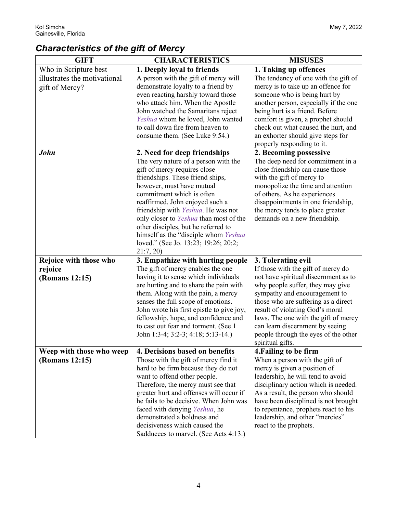# *Characteristics of the gift of Mercy*

| <b>GIFT</b>                  | <b>CHARACTERISTICS</b>                                                          | <b>MISUSES</b>                                                         |
|------------------------------|---------------------------------------------------------------------------------|------------------------------------------------------------------------|
| Who in Scripture best        | 1. Deeply loyal to friends                                                      | 1. Taking up offences                                                  |
| illustrates the motivational | A person with the gift of mercy will                                            | The tendency of one with the gift of                                   |
| gift of Mercy?               | demonstrate loyalty to a friend by                                              | mercy is to take up an offence for                                     |
|                              | even reacting harshly toward those                                              | someone who is being hurt by                                           |
|                              | who attack him. When the Apostle                                                | another person, especially if the one                                  |
|                              | John watched the Samaritans reject                                              | being hurt is a friend. Before                                         |
|                              | Yeshua whom he loved, John wanted                                               | comfort is given, a prophet should                                     |
|                              | to call down fire from heaven to                                                | check out what caused the hurt, and                                    |
|                              | consume them. (See Luke 9:54.)                                                  | an exhorter should give steps for                                      |
|                              |                                                                                 | properly responding to it.                                             |
| John                         | 2. Need for deep friendships                                                    | 2. Becoming possessive                                                 |
|                              | The very nature of a person with the                                            | The deep need for commitment in a                                      |
|                              | gift of mercy requires close                                                    | close friendship can cause those                                       |
|                              | friendships. These friend ships,                                                | with the gift of mercy to                                              |
|                              | however, must have mutual                                                       | monopolize the time and attention                                      |
|                              | commitment which is often                                                       | of others. As he experiences                                           |
|                              | reaffirmed. John enjoyed such a                                                 | disappointments in one friendship,                                     |
|                              | friendship with Yeshua. He was not                                              | the mercy tends to place greater                                       |
|                              | only closer to Yeshua than most of the                                          | demands on a new friendship.                                           |
|                              | other disciples, but he referred to                                             |                                                                        |
|                              | himself as the "disciple whom Yeshua"                                           |                                                                        |
|                              | loved." (See Jo. 13:23; 19:26; 20:2;                                            |                                                                        |
|                              | 21:7,20                                                                         |                                                                        |
| Rejoice with those who       | 3. Empathize with hurting people                                                | 3. Tolerating evil                                                     |
| rejoice                      | The gift of mercy enables the one                                               | If those with the gift of mercy do                                     |
| (Romans 12:15)               | having it to sense which individuals                                            | not have spiritual discernment as to                                   |
|                              | are hurting and to share the pain with                                          | why people suffer, they may give                                       |
|                              | them. Along with the pain, a mercy                                              | sympathy and encouragement to                                          |
|                              | senses the full scope of emotions.<br>John wrote his first epistle to give joy, | those who are suffering as a direct<br>result of violating God's moral |
|                              | fellowship, hope, and confidence and                                            | laws. The one with the gift of mercy                                   |
|                              | to cast out fear and torment. (See 1                                            | can learn discernment by seeing                                        |
|                              | John 1:3-4; 3:2-3; 4:18; 5:13-14.)                                              | people through the eyes of the other                                   |
|                              |                                                                                 | spiritual gifts.                                                       |
| Weep with those who weep     | 4. Decisions based on benefits                                                  | 4. Failing to be firm                                                  |
| (Romans 12:15)               | Those with the gift of mercy find it                                            | When a person with the gift of                                         |
|                              | hard to be firm because they do not                                             | mercy is given a position of                                           |
|                              | want to offend other people.                                                    | leadership, he will tend to avoid                                      |
|                              | Therefore, the mercy must see that                                              | disciplinary action which is needed.                                   |
|                              | greater hurt and offenses will occur if                                         | As a result, the person who should                                     |
|                              | he fails to be decisive. When John was                                          | have been disciplined is not brought                                   |
|                              | faced with denying Yeshua, he                                                   | to repentance, prophets react to his                                   |
|                              | demonstrated a boldness and                                                     | leadership, and other "mercies"                                        |
|                              | decisiveness which caused the                                                   | react to the prophets.                                                 |
|                              | Sadducees to marvel. (See Acts 4:13.)                                           |                                                                        |